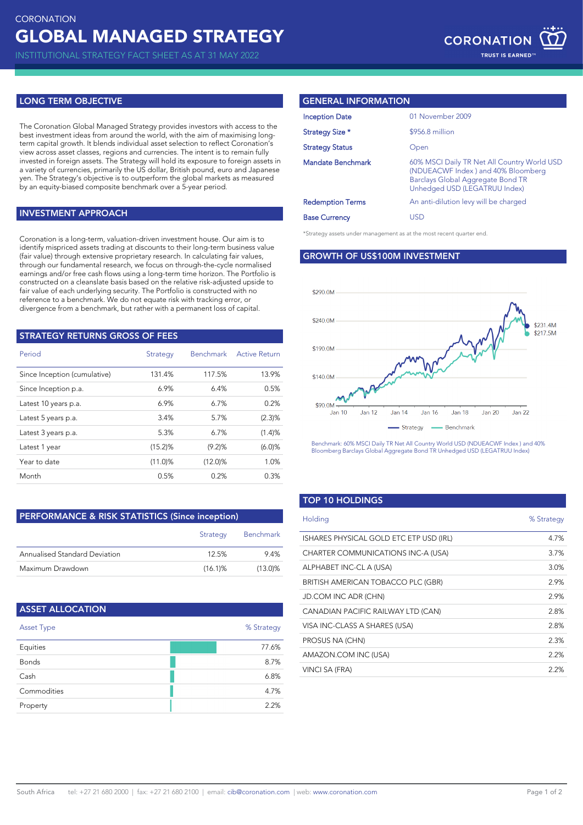INSTITUTIONAL STRATEGY FACT SHEET AS AT 31 MAY 2022

## **LONG TERM OBJECTIVE**

The Coronation Global Managed Strategy provides investors with access to the best investment ideas from around the world, with the aim of maximising longterm capital growth. It blends individual asset selection to reflect Coronation's view across asset classes, regions and currencies. The intent is to remain fully invested in foreign assets. The Strategy will hold its exposure to foreign assets in a variety of currencies, primarily the US dollar, British pound, euro and Japanese yen. The Strategy's objective is to outperform the global markets as measured by an equity-biased composite benchmark over a 5-year period.

### **INVESTMENT APPROACH**

Coronation is a long-term, valuation-driven investment house. Our aim is to identify mispriced assets trading at discounts to their long-term business value (fair value) through extensive proprietary research. In calculating fair values, through our fundamental research, we focus on through-the-cycle normalised earnings and/or free cash flows using a long-term time horizon. The Portfolio is constructed on a cleanslate basis based on the relative risk-adjusted upside to fair value of each underlying security. The Portfolio is constructed with no reference to a benchmark. We do not equate risk with tracking error, or divergence from a benchmark, but rather with a permanent loss of capital.

| <b>STRATEGY RETURNS GROSS OF FEES</b> |                 |                  |                      |
|---------------------------------------|-----------------|------------------|----------------------|
| Period                                | <b>Strategy</b> | <b>Benchmark</b> | <b>Active Return</b> |
| Since Inception (cumulative)          | 131.4%          | 117.5%           | 13.9%                |
| Since Inception p.a.                  | 6.9%            | 6.4%             | 0.5%                 |
| Latest 10 years p.a.                  | 6.9%            | $6.7\%$          | 0.2%                 |
| Latest 5 years p.a.                   | 3.4%            | 5.7%             | (2.3)%               |
| Latest 3 years p.a.                   | 5.3%            | 6.7%             | (1.4)%               |
| Latest 1 year                         | $(15.2)$ %      | (9.2)%           | (6.0)%               |
| Year to date                          | $(11.0)$ %      | $(12.0)\%$       | 1.0%                 |
| Month                                 | 0.5%            | 0.2%             | 0.3%                 |

# **PERFORMANCE & RISK STATISTICS (Since inception)**

|                               | Strategy   | Benchmark  |
|-------------------------------|------------|------------|
| Annualised Standard Deviation | 12.5%      | 94%        |
| Maximum Drawdown              | $(16.1)\%$ | $(13.0)\%$ |

| <b>ASSET ALLOCATION</b> |            |
|-------------------------|------------|
| Asset Type              | % Strategy |
| Equities                | 77.6%      |
| <b>Bonds</b>            | 8.7%       |
| Cash                    | 6.8%       |
| Commodities             | 4.7%       |
| Property                | 2.2%       |

### **GENERAL INFORMATION**

\*Strategy assets under management as at the most recent quarter end.

## **GROWTH OF US\$100M INVESTMENT**



Benchmark: 60% MSCI Daily TR Net All Country World USD (NDUEACWF Index ) and 40% Bloomberg Barclays Global Aggregate Bond TR Unhedged USD (LEGATRUU Index)

### **TOP 10 HOLDINGS**

| Holding                                 | % Strategy |
|-----------------------------------------|------------|
| ISHARES PHYSICAL GOLD ETC ETP USD (IRL) | 4.7%       |
| CHARTER COMMUNICATIONS INC-A (USA)      | 3.7%       |
| ALPHABET INC-CL A (USA)                 | 3.0%       |
| BRITISH AMERICAN TOBACCO PLC (GBR)      | 2.9%       |
| <b>JD.COM INC ADR (CHN)</b>             | 2.9%       |
| CANADIAN PACIFIC RAILWAY LTD (CAN)      | 2.8%       |
| VISA INC-CLASS A SHARES (USA)           | 2.8%       |
| PROSUS NA (CHN)                         | 2.3%       |
| AMAZON.COM INC (USA)                    | 2.2%       |
| VINCI SA (FRA)                          | 2.2%       |